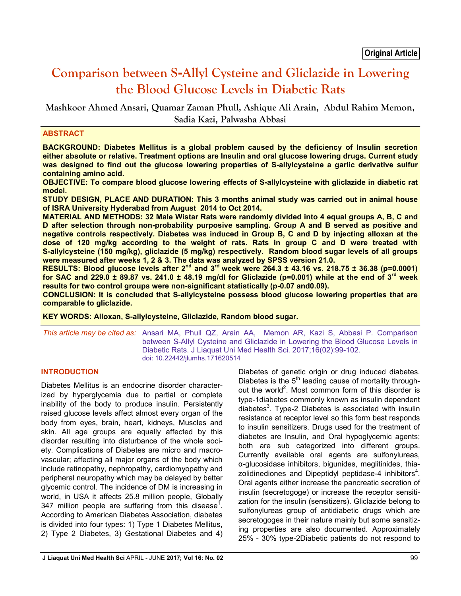# **Comparison between S-Allyl Cysteine and Gliclazide in Lowering the Blood Glucose Levels in Diabetic Rats**

**Mashkoor Ahmed Ansari, Quamar Zaman Phull, Ashique Ali Arain, Abdul Rahim Memon, Sadia Kazi, Palwasha Abbasi**

## **ABSTRACT**

**BACKGROUND: Diabetes Mellitus is a global problem caused by the deficiency of Insulin secretion either absolute or relative. Treatment options are Insulin and oral glucose lowering drugs. Current study was designed to find out the glucose lowering properties of S-allylcysteine a garlic derivative sulfur containing amino acid.** 

**OBJECTIVE: To compare blood glucose lowering effects of S-allylcysteine with gliclazide in diabetic rat model.** 

**STUDY DESIGN, PLACE AND DURATION: This 3 months animal study was carried out in animal house of ISRA University Hyderabad from August 2014 to Oct 2014.** 

**MATERIAL AND METHODS: 32 Male Wistar Rats were randomly divided into 4 equal groups A, B, C and D after selection through non-probability purposive sampling. Group A and B served as positive and negative controls respectively. Diabetes was induced in Group B, C and D by injecting alloxan at the dose of 120 mg/kg according to the weight of rats. Rats in group C and D were treated with S-allylcysteine (150 mg/kg), gliclazide (5 mg/kg) respectively. Random blood sugar levels of all groups were measured after weeks 1, 2 & 3. The data was analyzed by SPSS version 21.0.** 

RESULTS: Blood glucose levels after 2<sup>nd</sup> and 3<sup>rd</sup> week were 264.3 ± 43.16 vs. 218.75 ± 36.38 (p=0.0001) **for SAC and 229.0 ± 89.87 vs. 241.0 ± 48.19 mg/dl for Gliclazide (p=0.001) while at the end of 3rd week results for two control groups were non-significant statistically (p-0.07 and0.09).** 

**CONCLUSION: It is concluded that S-allylcysteine possess blood glucose lowering properties that are comparable to gliclazide.**

**KEY WORDS: Alloxan, S-allylcysteine, Gliclazide, Random blood sugar.**

*This article may be cited as:* Ansari MA, Phull QZ, Arain AA, Memon AR, Kazi S, Abbasi P. Comparison between S-Allyl Cysteine and Gliclazide in Lowering the Blood Glucose Levels in Diabetic Rats. J Liaquat Uni Med Health Sci. 2017;16(02):99-102. doi: 10.22442/jlumhs.171620514

## **INTRODUCTION**

Diabetes Mellitus is an endocrine disorder characterized by hyperglycemia due to partial or complete inability of the body to produce insulin. Persistently raised glucose levels affect almost every organ of the body from eyes, brain, heart, kidneys, Muscles and skin. All age groups are equally affected by this disorder resulting into disturbance of the whole society. Complications of Diabetes are micro and macrovascular; affecting all major organs of the body which include retinopathy, nephropathy, cardiomyopathy and peripheral neuropathy which may be delayed by better glycemic control. The incidence of DM is increasing in world, in USA it affects 25.8 million people, Globally 347 million people are suffering from this disease<sup>1</sup>. According to American Diabetes Association, diabetes is divided into four types: 1) Type 1 Diabetes Mellitus, 2) Type 2 Diabetes, 3) Gestational Diabetes and 4)

Diabetes of genetic origin or drug induced diabetes. Diabetes is the  $5<sup>th</sup>$  leading cause of mortality throughout the world<sup>2</sup>. Most common form of this disorder is type-1diabetes commonly known as insulin dependent diabetes<sup>3</sup>. Type-2 Diabetes is associated with insulin resistance at receptor level so this form best responds to insulin sensitizers. Drugs used for the treatment of diabetes are Insulin, and Oral hypoglycemic agents; both are sub categorized into different groups. Currently available oral agents are sulfonylureas, α-glucosidase inhibitors, bigunides, meglitinides, thiazolidinediones and Dipeptidyl peptidase-4 inhibitors<sup>4</sup>. Oral agents either increase the pancreatic secretion of insulin (secretogoge) or increase the receptor sensitization for the insulin (sensitizers). Gliclazide belong to sulfonylureas group of antidiabetic drugs which are secretogoges in their nature mainly but some sensitizing properties are also documented. Approximately 25% - 30% type-2Diabetic patients do not respond to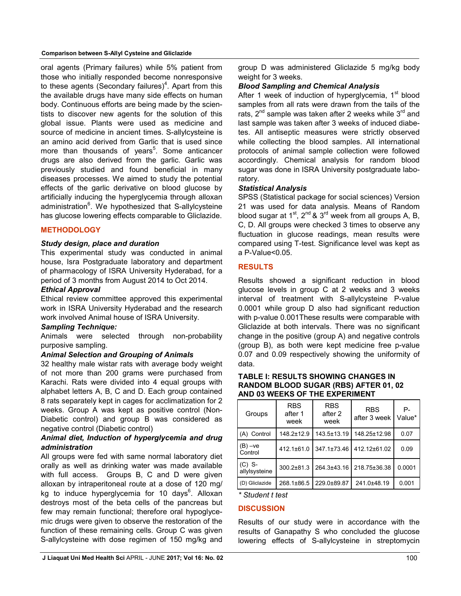#### **Comparison between S-Allyl Cysteine and Gliclazide**

oral agents (Primary failures) while 5% patient from those who initially responded become nonresponsive to these agents (Secondary failures)<sup>4</sup>. Apart from this the available drugs have many side effects on human body. Continuous efforts are being made by the scientists to discover new agents for the solution of this global issue. Plants were used as medicine and source of medicine in ancient times. S-allylcysteine is an amino acid derived from Garlic that is used since more than thousands of years<sup>5</sup>. Some anticancer drugs are also derived from the garlic. Garlic was previously studied and found beneficial in many diseases processes. We aimed to study the potential effects of the garlic derivative on blood glucose by artificially inducing the hyperglycemia through alloxan administration<sup>6</sup>. We hypothesized that S-allylcysteine has glucose lowering effects comparable to Gliclazide.

#### **METHODOLOGY**

## *Study design, place and duration*

This experimental study was conducted in animal house, Isra Postgraduate laboratory and department of pharmacology of ISRA University Hyderabad, for a period of 3 months from August 2014 to Oct 2014.

#### *Ethical Approval*

Ethical review committee approved this experimental work in ISRA University Hyderabad and the research work involved Animal house of ISRA University.

#### *Sampling Technique:*

Animals were selected through non-probability purposive sampling.

#### *Animal Selection and Grouping of Animals*

32 healthy male wistar rats with average body weight of not more than 200 grams were purchased from Karachi. Rats were divided into 4 equal groups with alphabet letters A, B, C and D. Each group contained 8 rats separately kept in cages for acclimatization for 2 weeks. Group A was kept as positive control (Non-Diabetic control) and group B was considered as negative control (Diabetic control)

## *Animal diet, Induction of hyperglycemia and drug administration*

All groups were fed with same normal laboratory diet orally as well as drinking water was made available with full access. Groups B, C and D were given alloxan by intraperitoneal route at a dose of 120 mg/ kg to induce hyperglycemia for 10 days<sup>6</sup>. Alloxan destroys most of the beta cells of the pancreas but few may remain functional; therefore oral hypoglycemic drugs were given to observe the restoration of the function of these remaining cells. Group C was given S-allylcysteine with dose regimen of 150 mg/kg and

#### *Blood Sampling and Chemical Analysis*

After 1 week of induction of hyperglycemia,  $1<sup>st</sup>$  blood samples from all rats were drawn from the tails of the rats,  $2^{nd}$  sample was taken after 2 weeks while  $3^{rd}$  and last sample was taken after 3 weeks of induced diabetes. All antiseptic measures were strictly observed while collecting the blood samples. All international protocols of animal sample collection were followed accordingly. Chemical analysis for random blood sugar was done in ISRA University postgraduate laboratory.

## *Statistical Analysis*

SPSS (Statistical package for social sciences) Version 21 was used for data analysis. Means of Random blood sugar at  $1^{st}$ ,  $2^{nd}$  &  $3^{rd}$  week from all groups A, B, C, D. All groups were checked 3 times to observe any fluctuation in glucose readings, mean results were compared using T-test. Significance level was kept as a P-Value<0.05.

## **RESULTS**

Results showed a significant reduction in blood glucose levels in group C at 2 weeks and 3 weeks interval of treatment with S-allylcysteine P-value 0.0001 while group D also had significant reduction with p-value 0.001These results were comparable with Gliclazide at both intervals. There was no significant change in the positive (group A) and negative controls (group B), as both were kept medicine free p-value 0.07 and 0.09 respectively showing the uniformity of data.

#### **TABLE I: RESULTS SHOWING CHANGES IN RANDOM BLOOD SUGAR (RBS) AFTER 01, 02 AND 03 WEEKS OF THE EXPERIMENT**

| Groups                    | <b>RBS</b><br>after 1<br>week | <b>RBS</b><br>after 2<br>week | <b>RBS</b><br>after 3 week | Р-<br>Value* |
|---------------------------|-------------------------------|-------------------------------|----------------------------|--------------|
| (A) Control               | 148.2±12.9                    | 143.5±13.19                   | 148.25±12.98               | 0.07         |
| (B) –ve<br>Control        | 412.1±61.0                    | 347.1±73.46                   | 412.12±61.02               | 0.09         |
| $(C)$ S-<br>allylsysteine | 300.2±81.3                    | 264.3±43.16                   | 218.75±36.38               | 0.0001       |
| (D) Gliclazide            | 268.1±86.5                    | 229.0±89.87                   | 241.0±48.19                | 0.001        |

*\* Student t test*

#### **DISCUSSION**

Results of our study were in accordance with the results of Ganapathy S who concluded the glucose lowering effects of S-allylcysteine in streptomycin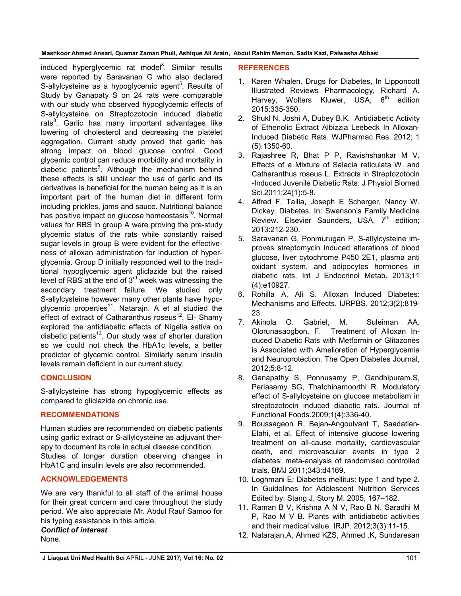**Mashkoor Ahmed Ansari, Quamar Zaman Phull, Ashique Ali Arain, Abdul Rahim Memon, Sadia Kazi, Palwasha Abbasi**

induced hyperglycemic rat model<sup>8</sup>. Similar results were reported by Saravanan G who also declared S-allylcysteine as a hypoglycemic agent<sup>5</sup>. Results of Study by Ganapaty S on 24 rats were comparable with our study who observed hypoglycemic effects of S-allylcysteine on Streptozotocin induced diabetic rats<sup>8</sup>. Garlic has many important advantages like lowering of cholesterol and decreasing the platelet aggregation. Current study proved that garlic has strong impact on blood glucose control. Good glycemic control can reduce morbidity and mortality in diabetic patients<sup>9</sup>. Although the mechanism behind these effects is still unclear the use of garlic and its derivatives is beneficial for the human being as it is an important part of the human diet in different form including prickles, jams and sauce. Nutritional balance has positive impact on glucose homeostasis $10$ . Normal values for RBS in group A were proving the pre-study glycemic status of the rats while constantly raised sugar levels in group B were evident for the effectiveness of alloxan administration for induction of hyperglycemia. Group D initially responded well to the traditional hypoglycemic agent gliclazide but the raised level of RBS at the end of  $3<sup>rd</sup>$  week was witnessing the secondary treatment failure. We studied only S-allylcysteine however many other plants have hypoglycemic properties<sup>11</sup>. Natarajn. A et al studied the effect of extract of Catharanthus roseus<sup>12</sup>. El- Shamy explored the antidiabetic effects of Nigella sativa on diabetic patients<sup>13</sup>. Our study was of shorter duration so we could not check the HbA1c levels, a better predictor of glycemic control. Similarly serum insulin levels remain deficient in our current study.

# **CONCLUSION**

S-allylcysteine has strong hypoglycemic effects as compared to gliclazide on chronic use.

## **RECOMMENDATIONS**

Human studies are recommended on diabetic patients using garlic extract or S-allylcysteine as adjuvant therapy to document its role in actual disease condition. Studies of longer duration observing changes in HbA1C and insulin levels are also recommended.

## **ACKNOWLEDGEMENTS**

We are very thankful to all staff of the animal house for their great concern and care throughout the study period. We also appreciate Mr. Abdul Rauf Samoo for his typing assistance in this article.

# *Conflict of interest*

None.

## **REFERENCES**

- 1. Karen Whalen. Drugs for Diabetes, In Lipponcott Illustrated Reviews Pharmacology, Richard A. Harvey, Wolters Kluwer, USA,  $6<sup>th</sup>$  edition 2015:335-350.
- 2. Shukl N, Joshi A, Dubey B.K. Antidiabetic Activity of Ethenolic Extract Albizzia Leebeck In Alloxan-Induced Diabetic Rats. WJPharmac Res. 2012; 1 (5):1350-60.
- 3. Rajashree R, Bhat P P, Ravishshankar M V. Effects of a Mixture of Salacia reticulata W. and Catharanthus roseus L. Extracts in Streptozotocin -Induced Juvenile Diabetic Rats. J Physiol Biomed Sci.2011;24(1):5-8.
- 4. Alfred F. Tallia, Joseph E Scherger, Nancy W. Dickey. Diabetes, In: Swanson's Family Medicine Review. Elsevier Saunders, USA, 7<sup>th</sup> edition; 2013:212-230.
- 5. Saravanan G, Ponmurugan P. S-allylcysteine improves streptomycin induced alterations of blood glucose, liver cytochrome P450 2E1, plasma anti oxidant system, and adipocytes hormones in diabetic rats. Int J Endocrinol Metab. 2013;11 (4):e10927.
- 6. Rohilla A, Ali S. Alloxan Induced Diabetes: Mechanisms and Effects. IJRPBS. 2012;3(2):819- 23.
- 7. Akinola O. Gabriel, M. Suleiman AA. Olorunasaogbon, F. Treatment of Alloxan Induced Diabetic Rats with Metformin or Glitazones is Associated with Amelioration of Hyperglycemia and Neuroprotection. The Open Diabetes Journal, 2012;5:8-12.
- 8. Ganapathy S, Ponnusamy P, Gandhipuram.S, Periasamy SG, Thatchinamoorthi R. Modulatory effect of S-allylcysteine on glucose metabolism in streptozotocin induced diabetic rats. Journal of Functional Foods.2009;1(4):336-40.
- 9. Boussageon R, Bejan-Angoulvant T, Saadatian-Elahi, et al. Effect of intensive glucose lowering treatment on all-cause mortality, cardiovascular death, and microvascular events in type 2 diabetes: meta-analysis of randomised controlled trials. BMJ 2011;343:d4169.
- 10. Loghmani E: Diabetes mellitus: type 1 and type 2. In Guidelines for Adolescent Nutrition Services Edited by: Stang J, Story M. 2005, 167–182.
- 11. Raman B V, Krishna A N V, Rao B N, Saradhi M P, Rao M V B. Plants with antidiabetic activities and their medical value. IRJP. 2012;3(3):11-15.
- 12. Natarajan.A, Ahmed KZS, Ahmed .K, Sundaresan